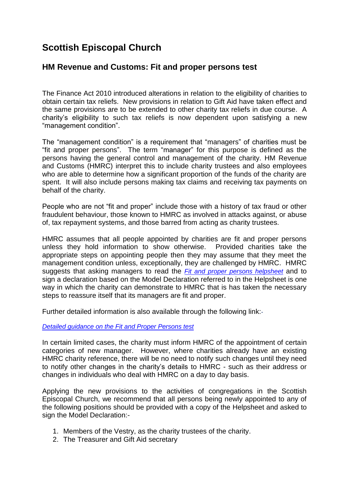## **Scottish Episcopal Church**

## **HM Revenue and Customs: Fit and proper persons test**

The Finance Act 2010 introduced alterations in relation to the eligibility of charities to obtain certain tax reliefs. New provisions in relation to Gift Aid have taken effect and the same provisions are to be extended to other charity tax reliefs in due course. A charity's eligibility to such tax reliefs is now dependent upon satisfying a new "management condition".

The "management condition" is a requirement that "managers" of charities must be "fit and proper persons". The term "manager" for this purpose is defined as the persons having the general control and management of the charity. HM Revenue and Customs (HMRC) interpret this to include charity trustees and also employees who are able to determine how a significant proportion of the funds of the charity are spent. It will also include persons making tax claims and receiving tax payments on behalf of the charity.

People who are not "fit and proper" include those with a history of tax fraud or other fraudulent behaviour, those known to HMRC as involved in attacks against, or abuse of, tax repayment systems, and those barred from acting as charity trustees.

HMRC assumes that all people appointed by charities are fit and proper persons unless they hold information to show otherwise. Provided charities take the appropriate steps on appointing people then they may assume that they meet the management condition unless, exceptionally, they are challenged by HMRC. HMRC suggests that asking managers to read the *[Fit and proper persons helpsheet](http://www.hmrc.gov.uk/charities/guidance-notes/chapter2/model-dec-ff-persons.pdf)* and to sign a declaration based on the Model Declaration referred to in the Helpsheet is one way in which the charity can demonstrate to HMRC that is has taken the necessary steps to reassure itself that its managers are fit and proper.

Further detailed information is also available through the following link:-

*[Detailed guidance on the Fit and Proper Persons test](http://www.hmrc.gov.uk/charities/guidance-notes/chapter2/fp-persons-test.htm)*

In certain limited cases, the charity must inform HMRC of the appointment of certain categories of new manager. However, where charities already have an existing HMRC charity reference, there will be no need to notify such changes until they need to notify other changes in the charity's details to HMRC - such as their address or changes in individuals who deal with HMRC on a day to day basis.

Applying the new provisions to the activities of congregations in the Scottish Episcopal Church, we recommend that all persons being newly appointed to any of the following positions should be provided with a copy of the Helpsheet and asked to sign the Model Declaration:-

- 1. Members of the Vestry, as the charity trustees of the charity.
- 2. The Treasurer and Gift Aid secretary